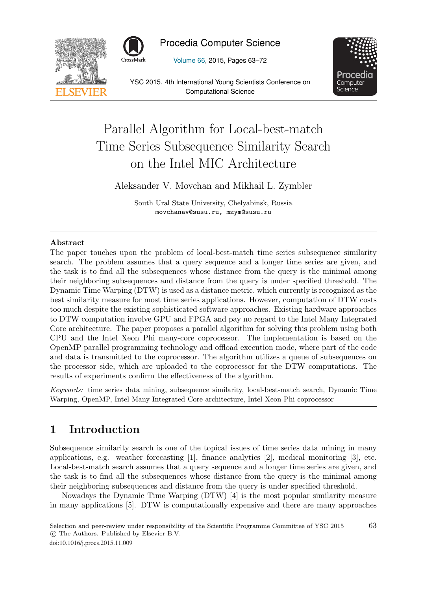



Procedia Computer Science

Volume 66, 2015, Pages 63–72



YSC 2015. 4th International Young Scientists Conference on Computational Science

# Parallel Algorithm for Local-best-match  $\frac{1}{\sqrt{2}}$  on the Intel MIC Architecture on the Intel MIC Architecture

Aleksander V. Movchan and Mikhail L. Zymbler

South Ural State University, Chelyabinsk, Russia movchanav@susu.ru, mzym@susu.ru

#### **Abstract**

The paper touches upon the problem of local-best-match time series subsequence similarity search. The problem assumes that a query sequence and a longer time series are given, and the task is to find all the subsequences whose distance from the query is the minimal among their neighboring subsequences and distance from the query is under specified threshold. The Dynamic Time Warping (DTW) is used as a distance metric, which currently is recognized as the best similarity measure for most time series applications. However, computation of DTW costs too much despite the existing sophisticated software approaches. Existing hardware approaches to DTW computation involve GPU and FPGA and pay no regard to the Intel Many Integrated Core architecture. The paper proposes a parallel algorithm for solving this problem using both CPU and the Intel Xeon Phi many-core coprocessor. The implementation is based on the OpenMP parallel programming technology and offload execution mode, where part of the code and data is transmitted to the coprocessor. The algorithm utilizes a queue of subsequences on the processor side, which are uploaded to the coprocessor for the DTW computations. The results of experiments confirm the effectiveness of the algorithm.

Keywords: time series data mining, subsequence similarity, local-best-match search, Dynamic Time Warping, OpenMP, Intel Many Integrated Core architecture, Intel Xeon Phi coprocessor

# **1 Introduction**

Subsequence similarity search is one of the topical issues of time series data mining in many applications, e.g. weather forecasting [1], finance analytics [2], medical monitoring [3], etc. Local-best-match search assumes that a query sequence and a longer time series are given, and the task is to find all the subsequences whose distance from the query is the minimal among their neighboring subsequences and distance from the query is under specified threshold.

Nowadays the Dynamic Time Warping (DTW) [4] is the most popular similarity measure in many applications [5]. DTW is computationally expensive and there are many approaches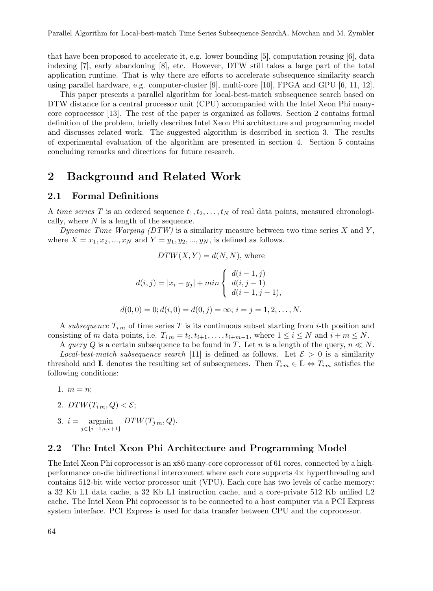that have been proposed to accelerate it, e.g. lower bounding [5], computation reusing [6], data indexing [7], early abandoning [8], etc. However, DTW still takes a large part of the total application runtime. That is why there are efforts to accelerate subsequence similarity search using parallel hardware, e.g. computer-cluster [9], multi-core [10], FPGA and GPU [6, 11, 12].

This paper presents a parallel algorithm for local-best-match subsequence search based on DTW distance for a central processor unit (CPU) accompanied with the Intel Xeon Phi manycore coprocessor [13]. The rest of the paper is organized as follows. Section 2 contains formal definition of the problem, briefly describes Intel Xeon Phi architecture and programming model and discusses related work. The suggested algorithm is described in section 3. The results of experimental evaluation of the algorithm are presented in section 4. Section 5 contains concluding remarks and directions for future research.

## **2 Background and Related Work**

#### **2.1 Formal Definitions**

A time series T is an ordered sequence  $t_1, t_2, \ldots, t_N$  of real data points, measured chronologically, where  $N$  is a length of the sequence.

Dynamic Time Warping  $(DTW)$  is a similarity measure between two time series X and Y, where  $X = x_1, x_2, ..., x_N$  and  $Y = y_1, y_2, ..., y_N$ , is defined as follows.

$$
DTW(X, Y) = d(N, N), \text{ where}
$$

$$
d(i, j) = |x_i - y_j| + min \begin{cases} d(i - 1, j) \\ d(i, j - 1) \\ d(i - 1, j - 1), \end{cases}
$$

$$
d(0, 0) = 0; d(i, 0) = d(0, j) = \infty; i = j = 1, 2, ..., N.
$$

A subsequence  $T_{im}$  of time series T is its continuous subset starting from *i*-th position and consisting of m data points, i.e.  $T_{i,m} = t_i, t_{i+1}, \ldots, t_{i+m-1}$ , where  $1 \leq i \leq N$  and  $i + m \leq N$ .

A query Q is a certain subsequence to be found in T. Let n is a length of the query,  $n \ll N$ .

Local-best-match subsequence search [11] is defined as follows. Let  $\mathcal{E} > 0$  is a similarity threshold and L denotes the resulting set of subsequences. Then  $T_{im} \in \mathbb{L} \Leftrightarrow T_{im}$  satisfies the following conditions:

$$
1. \, m=n;
$$

- 2.  $DTW(T_{im}, Q) < \mathcal{E};$
- 3.  $i = \operatorname*{argmin}_{i \in \{i-1, i, i+1\}} DTW(T_{j,m}, Q)$ .  $j \in \{i-1,i,i+1\}$

#### **2.2 The Intel Xeon Phi Architecture and Programming Model**

The Intel Xeon Phi coprocessor is an x86 many-core coprocessor of 61 cores, connected by a highperformance on-die bidirectional interconnect where each core supports 4× hyperthreading and contains 512-bit wide vector processor unit (VPU). Each core has two levels of cache memory: a 32 Kb L1 data cache, a 32 Kb L1 instruction cache, and a core-private 512 Kb unified L2 cache. The Intel Xeon Phi coprocessor is to be connected to a host computer via a PCI Express system interface. PCI Express is used for data transfer between CPU and the coprocessor.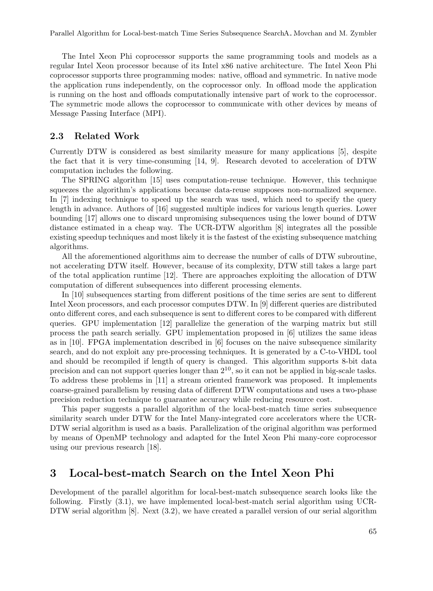The Intel Xeon Phi coprocessor supports the same programming tools and models as a regular Intel Xeon processor because of its Intel x86 native architecture. The Intel Xeon Phi coprocessor supports three programming modes: native, offload and symmetric. In native mode the application runs independently, on the coprocessor only. In offload mode the application is running on the host and offloads computationally intensive part of work to the coprocessor. The symmetric mode allows the coprocessor to communicate with other devices by means of Message Passing Interface (MPI).

#### **2.3 Related Work**

Currently DTW is considered as best similarity measure for many applications [5], despite the fact that it is very time-consuming [14, 9]. Research devoted to acceleration of DTW computation includes the following.

The SPRING algorithm [15] uses computation-reuse technique. However, this technique squeezes the algorithm's applications because data-reuse supposes non-normalized sequence. In [7] indexing technique to speed up the search was used, which need to specify the query length in advance. Authors of [16] suggested multiple indices for various length queries. Lower bounding [17] allows one to discard unpromising subsequences using the lower bound of DTW distance estimated in a cheap way. The UCR-DTW algorithm [8] integrates all the possible existing speedup techniques and most likely it is the fastest of the existing subsequence matching algorithms.

All the aforementioned algorithms aim to decrease the number of calls of DTW subroutine, not accelerating DTW itself. However, because of its complexity, DTW still takes a large part of the total application runtime [12]. There are approaches exploiting the allocation of DTW computation of different subsequences into different processing elements.

In [10] subsequences starting from different positions of the time series are sent to different Intel Xeon processors, and each processor computes DTW. In [9] different queries are distributed onto different cores, and each subsequence is sent to different cores to be compared with different queries. GPU implementation [12] parallelize the generation of the warping matrix but still process the path search serially. GPU implementation proposed in [6] utilizes the same ideas as in [10]. FPGA implementation described in [6] focuses on the naive subsequence similarity search, and do not exploit any pre-processing techniques. It is generated by a C-to-VHDL tool and should be recompiled if length of query is changed. This algorithm supports 8-bit data precision and can not support queries longer than  $2^{10}$ , so it can not be applied in big-scale tasks. To address these problems in [11] a stream oriented framework was proposed. It implements coarse-grained parallelism by reusing data of different DTW computations and uses a two-phase precision reduction technique to guarantee accuracy while reducing resource cost.

This paper suggests a parallel algorithm of the local-best-match time series subsequence similarity search under DTW for the Intel Many-integrated core accelerators where the UCR-DTW serial algorithm is used as a basis. Parallelization of the original algorithm was performed by means of OpenMP technology and adapted for the Intel Xeon Phi many-core coprocessor using our previous research [18].

## **3 Local-best-match Search on the Intel Xeon Phi**

Development of the parallel algorithm for local-best-match subsequence search looks like the following. Firstly (3.1), we have implemented local-best-match serial algorithm using UCR-DTW serial algorithm [8]. Next  $(3.2)$ , we have created a parallel version of our serial algorithm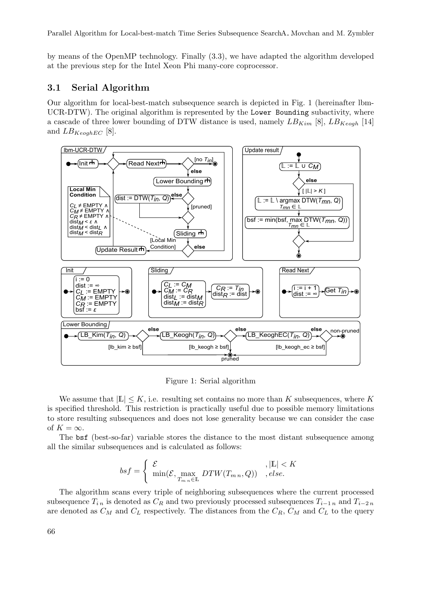Parallel Algorithm for Local-best-match Time Series Subsequence Search A. Movchan and M. Zymbler

by means of the OpenMP technology. Finally (3.3), we have adapted the algorithm developed at the previous step for the Intel Xeon Phi many-core coprocessor.

#### **3.1 Serial Algorithm**

Our algorithm for local-best-match subsequence search is depicted in Fig. 1 (hereinafter lbm-UCR-DTW). The original algorithm is represented by the Lower Bounding subactivity, where a cascade of three lower bounding of DTW distance is used, namely  $LB_{Kim}$  [8],  $LB_{Keosh}$  [14] and  $LB_{KeoshEC}$  [8].



Figure 1: Serial algorithm

We assume that  $|L| \leq K$ , i.e. resulting set contains no more than K subsequences, where K is specified threshold. This restriction is practically useful due to possible memory limitations to store resulting subsequences and does not lose generality because we can consider the case of  $K = \infty$ .

The bsf (best-so-far) variable stores the distance to the most distant subsequence among all the similar subsequences and is calculated as follows:

$$
bsf = \begin{cases} \mathcal{E} & ,|\mathbb{L}| < K \\ \min(\mathcal{E}, \max_{T_{m} \in \mathbb{L}} DTW(T_{m,n}, Q)) & , else. \end{cases}
$$

The algorithm scans every triple of neighboring subsequences where the current processed subsequence  $T_{i n}$  is denoted as  $C_R$  and two previously processed subsequences  $T_{i-1 n}$  and  $T_{i-2 n}$ are denoted as  $C_M$  and  $C_L$  respectively. The distances from the  $C_R$ ,  $C_M$  and  $C_L$  to the query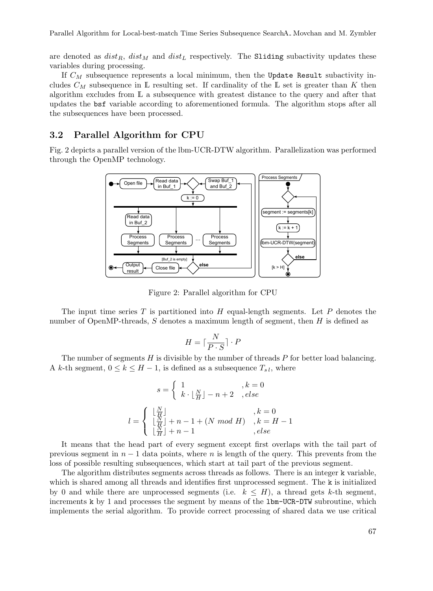are denoted as  $dist_R$ ,  $dist_M$  and  $dist_L$  respectively. The Sliding subactivity updates these variables during processing.

If  $C_M$  subsequence represents a local minimum, then the Update Result subactivity includes  $C_M$  subsequence in L resulting set. If cardinality of the L set is greater than K then algorithm excludes from L a subsequence with greatest distance to the query and after that updates the bsf variable according to aforementioned formula. The algorithm stops after all the subsequences have been processed.

#### **3.2 Parallel Algorithm for CPU**

Fig. 2 depicts a parallel version of the lbm-UCR-DTW algorithm. Parallelization was performed through the OpenMP technology.



Figure 2: Parallel algorithm for CPU

The input time series  $T$  is partitioned into  $H$  equal-length segments. Let  $P$  denotes the number of OpenMP-threads, S denotes a maximum length of segment, then H is defined as

$$
H = \lceil \frac{N}{P \cdot S} \rceil \cdot P
$$

The number of segments  $H$  is divisible by the number of threads  $P$  for better load balancing. A k-th segment,  $0 \le k \le H - 1$ , is defined as a subsequence  $T_{s l}$ , where

$$
s = \begin{cases} 1 & , k = 0 \\ k \cdot \lfloor \frac{N}{H} \rfloor - n + 2 & , else \end{cases}
$$

$$
l = \begin{cases} \lfloor \frac{N}{H} \rfloor & , k = 0 \\ \lfloor \frac{N}{H} \rfloor + n - 1 + (N \mod H) & , k = H - 1 \\ \lfloor \frac{N}{H} \rfloor + n - 1 & , else \end{cases}
$$

It means that the head part of every segment except first overlaps with the tail part of previous segment in  $n-1$  data points, where n is length of the query. This prevents from the loss of possible resulting subsequences, which start at tail part of the previous segment.

The algorithm distributes segments across threads as follows. There is an integer k variable, which is shared among all threads and identifies first unprocessed segment. The k is initialized by 0 and while there are unprocessed segments (i.e.  $k \leq H$ ), a thread gets k-th segment, increments k by 1 and processes the segment by means of the lbm-UCR-DTW subroutine, which implements the serial algorithm. To provide correct processing of shared data we use critical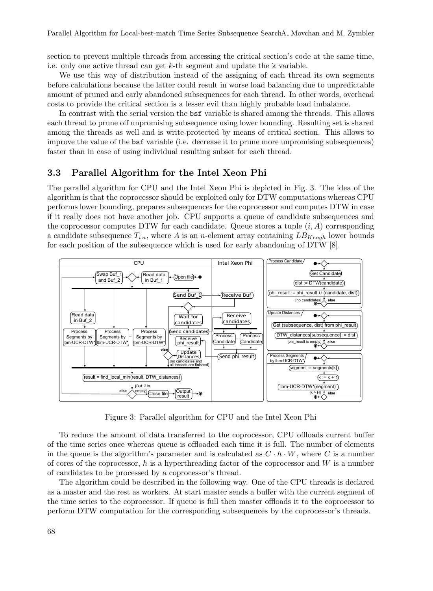section to prevent multiple threads from accessing the critical section's code at the same time, i.e. only one active thread can get  $k$ -th segment and update the k variable.

We use this way of distribution instead of the assigning of each thread its own segments before calculations because the latter could result in worse load balancing due to unpredictable amount of pruned and early abandoned subsequences for each thread. In other words, overhead costs to provide the critical section is a lesser evil than highly probable load imbalance.

In contrast with the serial version the bsf variable is shared among the threads. This allows each thread to prune off unpromising subsequence using lower bounding. Resulting set is shared among the threads as well and is write-protected by means of critical section. This allows to improve the value of the bsf variable (i.e. decrease it to prune more unpromising subsequences) faster than in case of using individual resulting subset for each thread.

#### **3.3 Parallel Algorithm for the Intel Xeon Phi**

The parallel algorithm for CPU and the Intel Xeon Phi is depicted in Fig. 3. The idea of the algorithm is that the coprocessor should be exploited only for DTW computations whereas CPU performs lower bounding, prepares subsequences for the coprocessor and computes DTW in case if it really does not have another job. CPU supports a queue of candidate subsequences and the coprocessor computes DTW for each candidate. Queue stores a tuple  $(i, A)$  corresponding a candidate subsequence  $T_{in}$ , where A is an n-element array containing  $LB_{Keogh}$  lower bounds for each position of the subsequence which is used for early abandoning of DTW [8].



Figure 3: Parallel algorithm for CPU and the Intel Xeon Phi

To reduce the amount of data transferred to the coprocessor, CPU offloads current buffer of the time series once whereas queue is offloaded each time it is full. The number of elements in the queue is the algorithm's parameter and is calculated as  $C \cdot h \cdot W$ , where C is a number of cores of the coprocessor, h is a hyperthreading factor of the coprocessor and  $W$  is a number of candidates to be processed by a coprocessor's thread.

The algorithm could be described in the following way. One of the CPU threads is declared as a master and the rest as workers. At start master sends a buffer with the current segment of the time series to the coprocessor. If queue is full then master offloads it to the coprocessor to perform DTW computation for the corresponding subsequences by the coprocessor's threads.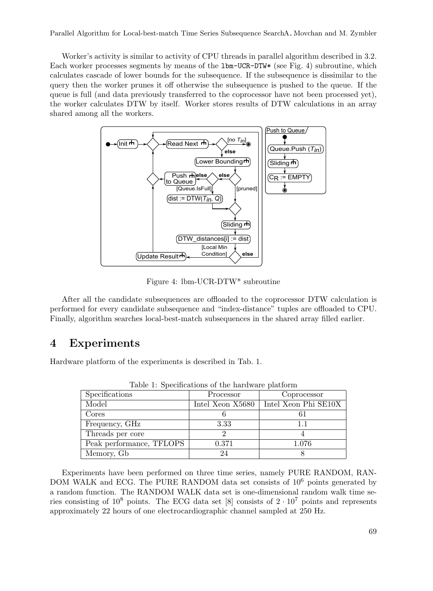Worker's activity is similar to activity of CPU threads in parallel algorithm described in 3.2. Each worker processes segments by means of the 1bm-UCR-DTW\* (see Fig. 4) subroutine, which calculates cascade of lower bounds for the subsequence. If the subsequence is dissimilar to the query then the worker prunes it off otherwise the subsequence is pushed to the queue. If the queue is full (and data previously transferred to the coprocessor have not been processed yet), the worker calculates DTW by itself. Worker stores results of DTW calculations in an array shared among all the workers.



Figure 4: lbm-UCR-DTW\* subroutine

After all the candidate subsequences are offloaded to the coprocessor DTW calculation is performed for every candidate subsequence and "index-distance" tuples are offloaded to CPU. Finally, algorithm searches local-best-match subsequences in the shared array filled earlier.

## **4 Experiments**

Hardware platform of the experiments is described in Tab. 1.

| Specifications           | Processor        | Coprocessor          |
|--------------------------|------------------|----------------------|
| Model                    | Intel Xeon X5680 | Intel Xeon Phi SE10X |
| Cores                    |                  |                      |
| Frequency, GHz           | 3.33             | 1.1                  |
| Threads per core         |                  |                      |
| Peak performance, TFLOPS | 0.371            | 1.076                |
| Memory, Gb               | 24               |                      |

Table 1: Specifications of the hardware platform

Experiments have been performed on three time series, namely PURE RANDOM, RAN-DOM WALK and ECG. The PURE RANDOM data set consists of  $10^6$  points generated by a random function. The RANDOM WALK data set is one-dimensional random walk time series consisting of 10<sup>8</sup> points. The ECG data set [8] consists of  $2 \cdot 10^7$  points and represents approximately 22 hours of one electrocardiographic channel sampled at 250 Hz.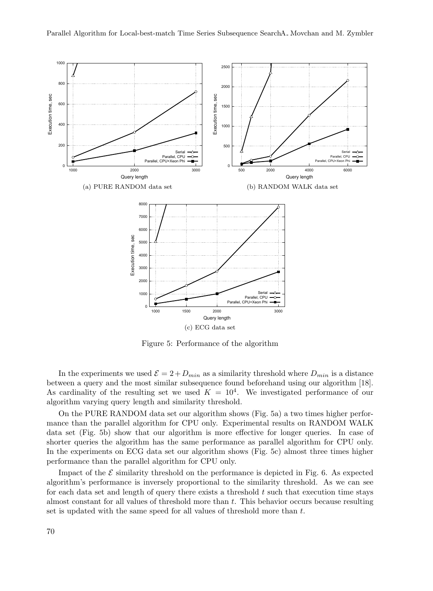

Figure 5: Performance of the algorithm

In the experiments we used  $\mathcal{E} = 2 + D_{min}$  as a similarity threshold where  $D_{min}$  is a distance between a query and the most similar subsequence found beforehand using our algorithm [18]. As cardinality of the resulting set we used  $K = 10^4$ . We investigated performance of our algorithm varying query length and similarity threshold.

On the PURE RANDOM data set our algorithm shows (Fig. 5a) a two times higher performance than the parallel algorithm for CPU only. Experimental results on RANDOM WALK data set (Fig. 5b) show that our algorithm is more effective for longer queries. In case of shorter queries the algorithm has the same performance as parallel algorithm for CPU only. In the experiments on ECG data set our algorithm shows (Fig. 5c) almost three times higher performance than the parallel algorithm for CPU only.

Impact of the  $\mathcal E$  similarity threshold on the performance is depicted in Fig. 6. As expected algorithm's performance is inversely proportional to the similarity threshold. As we can see for each data set and length of query there exists a threshold  $t$  such that execution time stays almost constant for all values of threshold more than t. This behavior occurs because resulting set is updated with the same speed for all values of threshold more than  $t$ .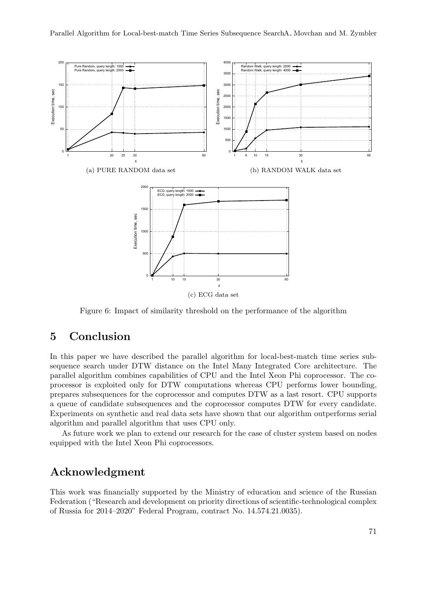

Figure 6: Impact of similarity threshold on the performance of the algorithm

# **5 Conclusion**

In this paper we have described the parallel algorithm for local-best-match time series subsequence search under DTW distance on the Intel Many Integrated Core architecture. The parallel algorithm combines capabilities of CPU and the Intel Xeon Phi coprocessor. The coprocessor is exploited only for DTW computations whereas CPU performs lower bounding, prepares subsequences for the coprocessor and computes DTW as a last resort. CPU supports a queue of candidate subsequences and the coprocessor computes DTW for every candidate. Experiments on synthetic and real data sets have shown that our algorithm outperforms serial algorithm and parallel algorithm that uses CPU only.

As future work we plan to extend our research for the case of cluster system based on nodes equipped with the Intel Xeon Phi coprocessors.

# **Acknowledgment**

This work was financially supported by the Ministry of education and science of the Russian Federation ("Research and development on priority directions of scientific-technological complex of Russia for 2014–2020" Federal Program, contract No. 14.574.21.0035).